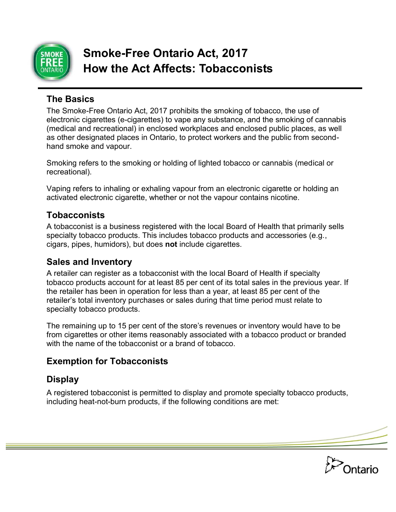

# **Smoke-Free Ontario Act, 2017 How the Act Affects: Tobacconists**

#### **The Basics**

The Smoke-Free Ontario Act, 2017 prohibits the smoking of tobacco, the use of electronic cigarettes (e-cigarettes) to vape any substance, and the smoking of cannabis (medical and recreational) in enclosed workplaces and enclosed public places, as well as other designated places in Ontario, to protect workers and the public from secondhand smoke and vapour.

Smoking refers to the smoking or holding of lighted tobacco or cannabis (medical or recreational).

Vaping refers to inhaling or exhaling vapour from an electronic cigarette or holding an activated electronic cigarette, whether or not the vapour contains nicotine.

#### **Tobacconists**

A tobacconist is a business registered with the local Board of Health that primarily sells specialty tobacco products. This includes tobacco products and accessories (e.g., cigars, pipes, humidors), but does **not** include cigarettes.

### **Sales and Inventory**

A retailer can register as a tobacconist with the local Board of Health if specialty tobacco products account for at least 85 per cent of its total sales in the previous year. If the retailer has been in operation for less than a year, at least 85 per cent of the retailer's total inventory purchases or sales during that time period must relate to specialty tobacco products.

The remaining up to 15 per cent of the store's revenues or inventory would have to be from cigarettes or other items reasonably associated with a tobacco product or branded with the name of the tobacconist or a brand of tobacco.

# **Exemption for Tobacconists**

# **Display**

A registered tobacconist is permitted to display and promote specialty tobacco products, including heat-not-burn products, if the following conditions are met:

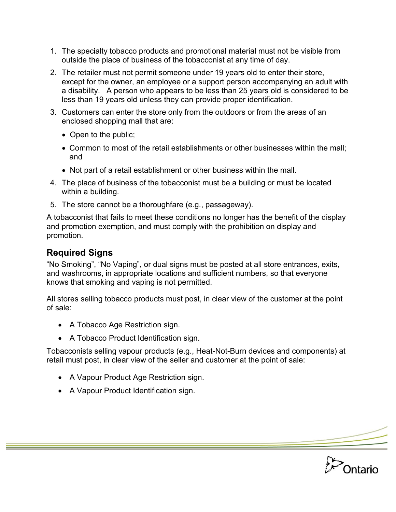- 1. The specialty tobacco products and promotional material must not be visible from outside the place of business of the tobacconist at any time of day.
- 2. The retailer must not permit someone under 19 years old to enter their store, except for the owner, an employee or a support person accompanying an adult with a disability. A person who appears to be less than 25 years old is considered to be less than 19 years old unless they can provide proper identification.
- 3. Customers can enter the store only from the outdoors or from the areas of an enclosed shopping mall that are:
	- Open to the public;
	- Common to most of the retail establishments or other businesses within the mall; and
	- Not part of a retail establishment or other business within the mall.
- 4. The place of business of the tobacconist must be a building or must be located within a building.
- 5. The store cannot be a thoroughfare (e.g., passageway).

A tobacconist that fails to meet these conditions no longer has the benefit of the display and promotion exemption, and must comply with the prohibition on display and promotion.

# **Required Signs**

"No Smoking", "No Vaping", or dual signs must be posted at all store entrances, exits, and washrooms, in appropriate locations and sufficient numbers, so that everyone knows that smoking and vaping is not permitted.

All stores selling tobacco products must post, in clear view of the customer at the point of sale:

- A Tobacco Age Restriction sign.
- A Tobacco Product Identification sign.

Tobacconists selling vapour products (e.g., Heat-Not-Burn devices and components) at retail must post, in clear view of the seller and customer at the point of sale:

- A Vapour Product Age Restriction sign.
- A Vapour Product Identification sign.

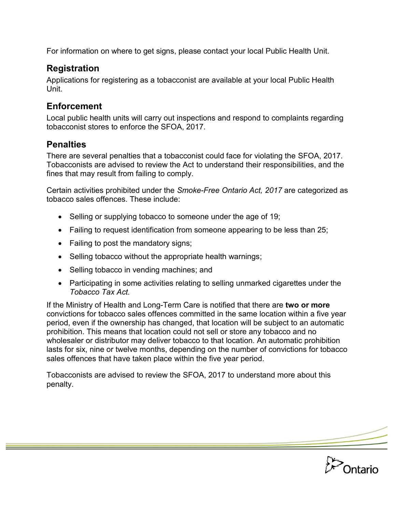For information on where to get signs, please contact your local Public Health Unit.

## **Registration**

Applications for registering as a tobacconist are available at your local Public Health Unit.

## **Enforcement**

Local public health units will carry out inspections and respond to complaints regarding tobacconist stores to enforce the SFOA, 2017.

### **Penalties**

There are several penalties that a tobacconist could face for violating the SFOA, 2017. Tobacconists are advised to review the Act to understand their responsibilities, and the fines that may result from failing to comply.

Certain activities prohibited under the *Smoke-Free Ontario Act, 2017* are categorized as tobacco sales offences. These include:

- Selling or supplying tobacco to someone under the age of 19;
- Failing to request identification from someone appearing to be less than 25;
- Failing to post the mandatory signs;
- Selling tobacco without the appropriate health warnings;
- Selling tobacco in vending machines; and
- Participating in some activities relating to selling unmarked cigarettes under the *Tobacco Tax Act.*

If the Ministry of Health and Long-Term Care is notified that there are **two or more** convictions for tobacco sales offences committed in the same location within a five year period, even if the ownership has changed, that location will be subject to an automatic prohibition. This means that location could not sell or store any tobacco and no wholesaler or distributor may deliver tobacco to that location. An automatic prohibition lasts for six, nine or twelve months, depending on the number of convictions for tobacco sales offences that have taken place within the five year period.

Tobacconists are advised to review the SFOA, 2017 to understand more about this penalty.